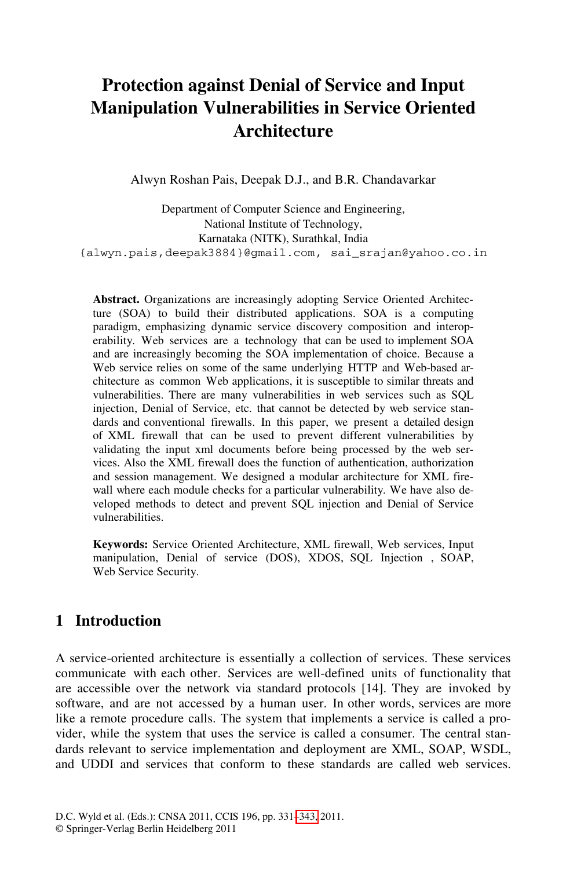## **Protection against Denial of Service and Input Manipulation Vulnerabilities in Service Oriented Architecture**

Alwyn Roshan Pais, Deepak D.J., and B.R. Chandavarkar

Department of Computer Science and Engineering, National Institute of Technology, Karnataka (NITK), Surathkal, India {alwyn.pais,deepak3884}@gmail.com, sai\_srajan@yahoo.co.in

**Abstract.** Organizations are increasingly adopting Service Oriented Architecture (SOA) to build their distributed applications. SOA is a computing paradigm, emphasizing dynamic service discovery composition and interoperability. Web services are a technology that can be used to implement SOA and are increasingly becoming the SOA implementation of choice. Because a Web service relies on some of the same underlying HTTP and Web-based architecture as common Web applications, it is susceptible to similar threats and vulnerabilities. There are many vulnerabilities in web services such as SQL injection, Denial of Service, etc. that cannot be detected by web service standards and conventional firewalls. In this paper, we present a detailed design of XML firewall that can be used to prevent different vulnerabilities by validating the input xml documents before being processed by the web services. Also the XML firewall does the function of authentication, authorization and session management. We designed a modular architecture for XML firewall where each module checks for a particular vulnerability. We have also developed methods to detect and prevent SQL injection and Denial of Service vulnerabilities.

**Keywords:** Service Oriented Architecture, XML firewall, Web services, Input manipulation, Denial of service (DOS), XDOS, SQL Injection , SOAP, Web Service Security.

## **1 Introduction**

A service-oriented architecture is essentially a collection of services. These services communicate with each other. Services are well-defined units of functionality that are accessible over the network via standard protocols [14]. They are invoked by software, and are not accessed by a human user. In other words, services are more like a remote procedure calls. The system that implements a service is called a provider, while the system that uses the service is called a consumer. The central standards relevant to service implementation and deployment are XML, SOAP, WSDL, and UDDI and services that conform to these standards are called web services.